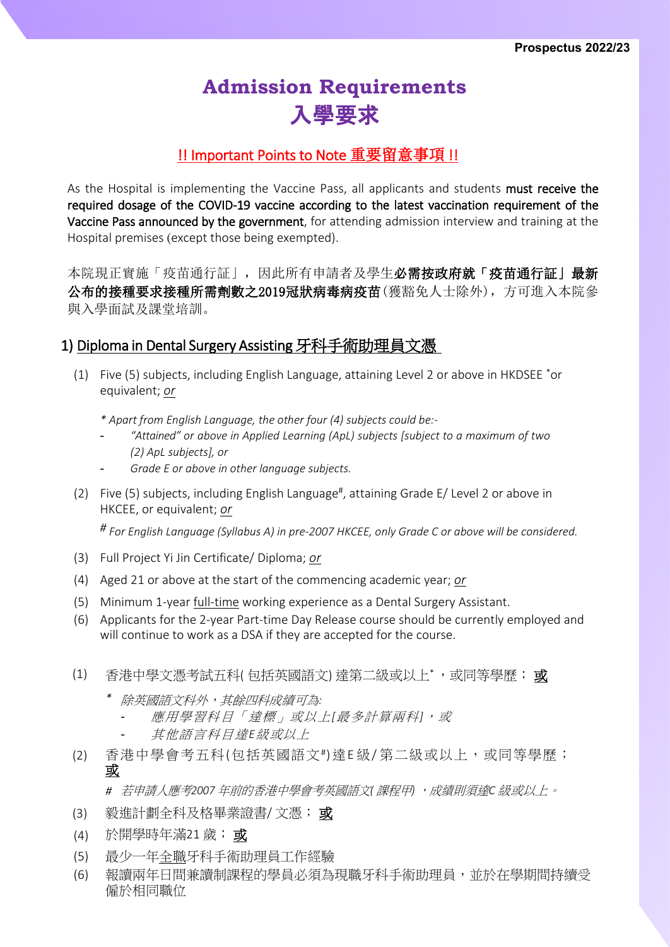# **Admission Requirements** 入學要求

### !! Important Points to Note 重要留意事項 !!

As the Hospital is implementing the Vaccine Pass, all applicants and students must receive the required dosage of the COVID-19 vaccine according to the latest vaccination requirement of the Vaccine Pass announced by the government, for attending admission interview and training at the Hospital premises (except those being exempted).

本院現正實施「疫苗通行証」,因此所有申請者及學生必需按政府就「疫苗通行証」最新 公布的接種要求接種所需劑數之2019冠狀病毒病疫苗(獲豁免人士除外),方可進入本院參 與入學面試及課堂培訓。

#### 1) Diploma in Dental Surgery Assisting 牙科手術助理員文憑

- (1) Five (5) subjects, including English Language, attaining Level 2 or above in HKDSEE \*or equivalent; *or*
	- *\* Apart from English Language, the other four (4) subjects could be:-*
	- *"Attained" or above in Applied Learning (ApL) subjects [subject to a maximum of two (2) ApL subjects], or*
	- *Grade E or above in other language subjects.*
- (2) Five (5) subjects, including English Language#, attaining Grade E/ Level 2 or above in HKCEE, or equivalent; *or*

*# For English Language (Syllabus A) in pre-2007 HKCEE, only Grade C or above will be considered.*

- (3) Full Project Yi Jin Certificate/ Diploma; *or*
- (4) Aged 21 or above at the start of the commencing academic year; *or*
- (5) Minimum 1-year full-time working experience as a Dental Surgery Assistant.
- (6) Applicants for the 2-year Part-time Day Release course should be currently employed and will continue to work as a DSA if they are accepted for the course.
- (1) 香港中學文憑考試五科(包括英國語文)達第二級或以上\*,或同等學歷;或
	- *\** 除英國語文科外,其餘四科成績可為*:*
		- 應用學習科目「達標」或以上*[* 最多計算兩科*]* ,或
		- 其他語言科目達*E*級或以上
- (2) 香港中學會考五科(包括英國語文#)達E 級/ 第二級或以上,或同等學歷; 或

*#* 若申請人應考*2007* 年前的香港中學會考英國語文*(* 課程甲*)* ,成績則須達*C* 級或以上。

- (3) 毅進計劃全科及格畢業證書/ 文憑; 或
- (4) 於開學時年滿21 歲; 或
- (5) 最少一年全職牙科手術助理員工作經驗
- (6) 報讀兩年日間兼讀制課程的學員必須為現職牙科手術助理員,並於在學期間持續受 僱於相同職位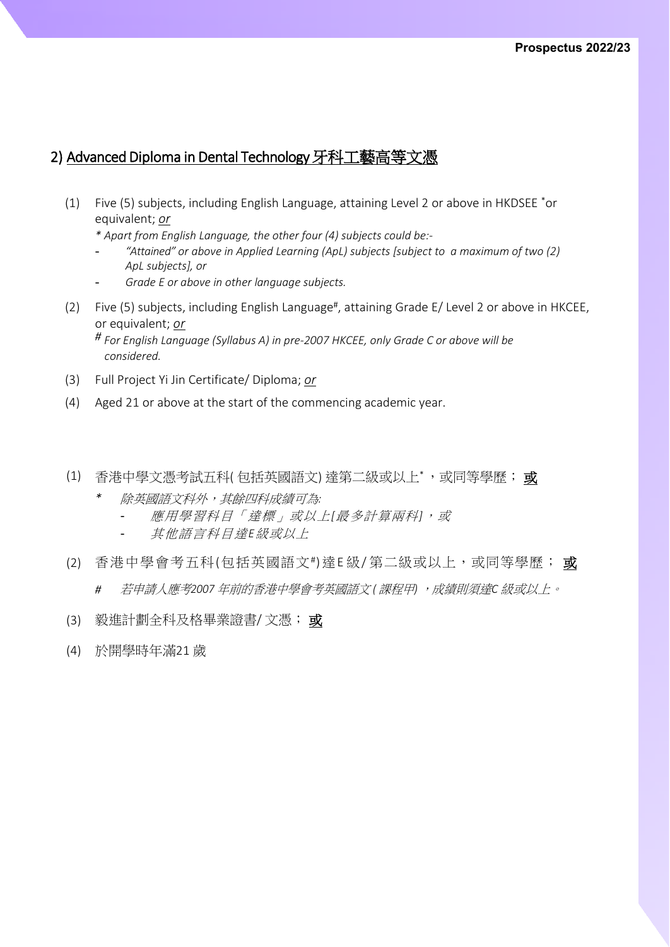## 2) Advanced Diploma in Dental Technology牙科工藝高等文憑

(1) Five (5) subjects, including English Language, attaining Level 2 or above in HKDSEE \*or equivalent; *or*

*\* Apart from English Language, the other four (4) subjects could be:-*

- *"Attained" or above in Applied Learning (ApL) subjects [subject to a maximum of two (2) ApL subjects], or*
- *Grade E or above in other language subjects.*
- (2) Five (5) subjects, including English Language#, attaining Grade E/ Level 2 or above in HKCEE, or equivalent; *or*

*# For English Language (Syllabus A) in pre-2007 HKCEE, only Grade C or above will be considered.*

- (3) Full Project Yi Jin Certificate/ Diploma; *or*
- (4) Aged 21 or above at the start of the commencing academic year.
- (1) 香港中學文憑考試五科(包括英國語文)達第二級或以上\*,或同等學歷; 或
	- *\** 除英國語文科外,其餘四科成績可為*:*
		- 應用學習科目「達標」或以上*[* 最多計算兩科*]* ,或
		- 其他語言科目達*E*級或以上
- (2) 香港中學會考五科(包括英國語文#)達E級/第二級或以上,或同等學歷; 或
	- *#* 若申請人應考*2007* 年前的香港中學會考英國語文 *(* 課程甲*)* ,成績則須達*C* 級或以上。
- (3) 毅進計劃全科及格畢業證書/ 文憑; 或
- (4) 於開學時年滿21 歲